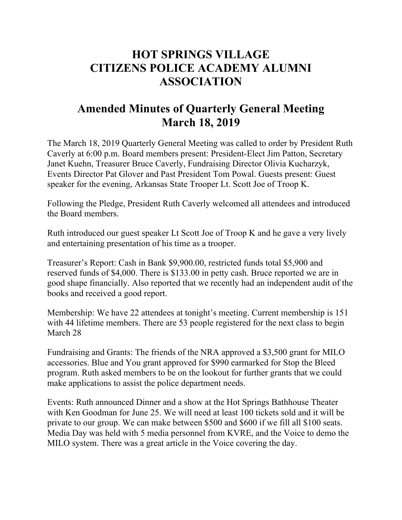## **HOT SPRINGS VILLAGE CITIZENS POLICE ACADEMY ALUMNI ASSOCIATION**

## **Amended Minutes of Quarterly General Meeting March 18, 2019**

The March 18, 2019 Quarterly General Meeting was called to order by President Ruth Caverly at 6:00 p.m. Board members present: President-Elect Jim Patton, Secretary Janet Kuehn, Treasurer Bruce Caverly, Fundraising Director Olivia Kucharzyk, Events Director Pat Glover and Past President Tom Powal. Guests present: Guest speaker for the evening, Arkansas State Trooper Lt. Scott Joe of Troop K.

Following the Pledge, President Ruth Caverly welcomed all attendees and introduced the Board members.

Ruth introduced our guest speaker Lt Scott Joe of Troop K and he gave a very lively and entertaining presentation of his time as a trooper.

Treasurer's Report: Cash in Bank \$9,900.00, restricted funds total \$5,900 and reserved funds of \$4,000. There is \$133.00 in petty cash. Bruce reported we are in good shape financially. Also reported that we recently had an independent audit of the books and received a good report.

Membership: We have 22 attendees at tonight's meeting. Current membership is 151 with 44 lifetime members. There are 53 people registered for the next class to begin March 28

Fundraising and Grants: The friends of the NRA approved a \$3,500 grant for MILO accessories. Blue and You grant approved for \$990 earmarked for Stop the Bleed program. Ruth asked members to be on the lookout for further grants that we could make applications to assist the police department needs.

Events: Ruth announced Dinner and a show at the Hot Springs Bathhouse Theater with Ken Goodman for June 25. We will need at least 100 tickets sold and it will be private to our group. We can make between \$500 and \$600 if we fill all \$100 seats. Media Day was held with 5 media personnel from KVRE, and the Voice to demo the MILO system. There was a great article in the Voice covering the day.